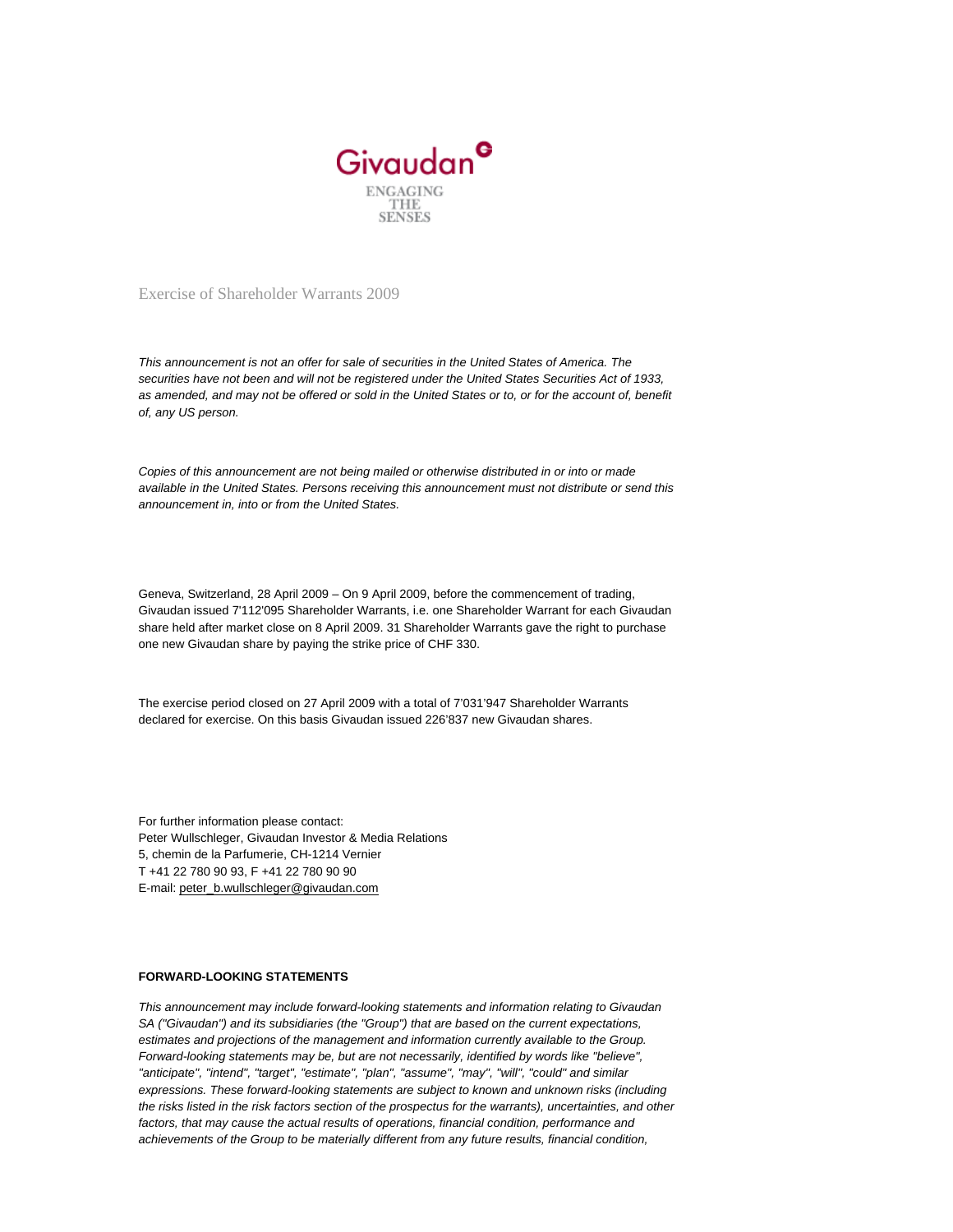

Exercise of Shareholder Warrants 2009

This announcement is not an offer for sale of securities in the United States of America. The securities have not been and will not be registered under the United States Securities Act of 1933, as amended, and may not be offered or sold in the United States or to, or for the account of, benefit of, any US person.

Copies of this announcement are not being mailed or otherwise distributed in or into or made available in the United States. Persons receiving this announcement must not distribute or send this announcement in, into or from the United States.

Geneva, Switzerland, 28 April 2009 – On 9 April 2009, before the commencement of trading, Givaudan issued 7'112'095 Shareholder Warrants, i.e. one Shareholder Warrant for each Givaudan share held after market close on 8 April 2009. 31 Shareholder Warrants gave the right to purchase one new Givaudan share by paying the strike price of CHF 330.

The exercise period closed on 27 April 2009 with a total of 7'031'947 Shareholder Warrants declared for exercise. On this basis Givaudan issued 226'837 new Givaudan shares.

For further information please contact: Peter Wullschleger, Givaudan Investor & Media Relations 5, chemin de la Parfumerie, CH-1214 Vernier T +41 22 780 90 93, F +41 22 780 90 90 E-mail: [peter\\_b.wullschleger@givaudan.com](mailto:peter_b.wullschleger@givaudan.com)

## **FORWARD-LOOKING STATEMENTS**

This announcement may include forward-looking statements and information relating to Givaudan SA ("Givaudan") and its subsidiaries (the "Group") that are based on the current expectations, estimates and projections of the management and information currently available to the Group. Forward-looking statements may be, but are not necessarily, identified by words like "believe", "anticipate", "intend", "target", "estimate", "plan", "assume", "may", "will", "could" and similar expressions. These forward-looking statements are subject to known and unknown risks (including the risks listed in the risk factors section of the prospectus for the warrants), uncertainties, and other factors, that may cause the actual results of operations, financial condition, performance and achievements of the Group to be materially different from any future results, financial condition,